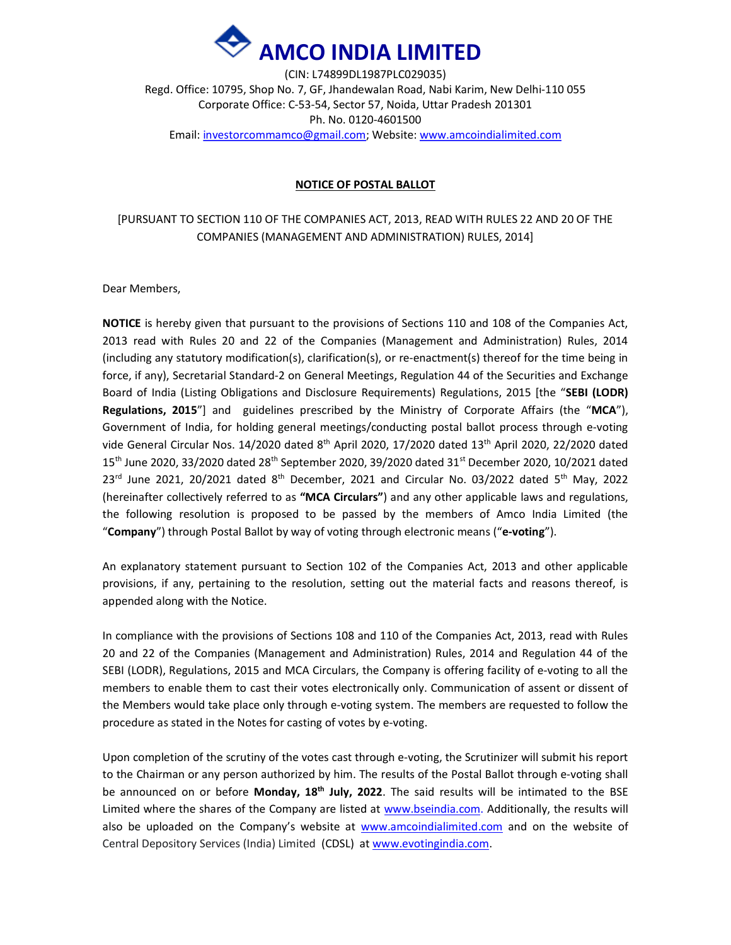

(CIN: L74899DL1987PLC029035) Regd. Office: 10795, Shop No. 7, GF, Jhandewalan Road, Nabi Karim, New Delhi-110 055 Corporate Office: C-53-54, Sector 57, Noida, Uttar Pradesh 201301 Ph. No. 0120-4601500 Email: investorcommamco@gmail.com; Website: www.amcoindialimited.com

#### NOTICE OF POSTAL BALLOT

## [PURSUANT TO SECTION 110 OF THE COMPANIES ACT, 2013, READ WITH RULES 22 AND 20 OF THE COMPANIES (MANAGEMENT AND ADMINISTRATION) RULES, 2014]

Dear Members,

NOTICE is hereby given that pursuant to the provisions of Sections 110 and 108 of the Companies Act, 2013 read with Rules 20 and 22 of the Companies (Management and Administration) Rules, 2014 (including any statutory modification(s), clarification(s), or re-enactment(s) thereof for the time being in force, if any), Secretarial Standard-2 on General Meetings, Regulation 44 of the Securities and Exchange Board of India (Listing Obligations and Disclosure Requirements) Regulations, 2015 [the "SEBI (LODR) Regulations, 2015"] and guidelines prescribed by the Ministry of Corporate Affairs (the "MCA"), Government of India, for holding general meetings/conducting postal ballot process through e-voting vide General Circular Nos. 14/2020 dated 8<sup>th</sup> April 2020, 17/2020 dated 13<sup>th</sup> April 2020, 22/2020 dated 15<sup>th</sup> June 2020, 33/2020 dated 28<sup>th</sup> September 2020, 39/2020 dated 31<sup>st</sup> December 2020, 10/2021 dated  $23<sup>rd</sup>$  June 2021, 20/2021 dated 8<sup>th</sup> December, 2021 and Circular No. 03/2022 dated 5<sup>th</sup> May, 2022 (hereinafter collectively referred to as "MCA Circulars") and any other applicable laws and regulations, the following resolution is proposed to be passed by the members of Amco India Limited (the "Company") through Postal Ballot by way of voting through electronic means ("e-voting").

An explanatory statement pursuant to Section 102 of the Companies Act, 2013 and other applicable provisions, if any, pertaining to the resolution, setting out the material facts and reasons thereof, is appended along with the Notice.

In compliance with the provisions of Sections 108 and 110 of the Companies Act, 2013, read with Rules 20 and 22 of the Companies (Management and Administration) Rules, 2014 and Regulation 44 of the SEBI (LODR), Regulations, 2015 and MCA Circulars, the Company is offering facility of e-voting to all the members to enable them to cast their votes electronically only. Communication of assent or dissent of the Members would take place only through e-voting system. The members are requested to follow the procedure as stated in the Notes for casting of votes by e-voting.

Upon completion of the scrutiny of the votes cast through e-voting, the Scrutinizer will submit his report to the Chairman or any person authorized by him. The results of the Postal Ballot through e-voting shall be announced on or before Monday,  $18<sup>th</sup>$  July, 2022. The said results will be intimated to the BSE Limited where the shares of the Company are listed at www.bseindia.com. Additionally, the results will also be uploaded on the Company's website at www.amcoindialimited.com and on the website of Central Depository Services (India) Limited (CDSL) at www.evotingindia.com.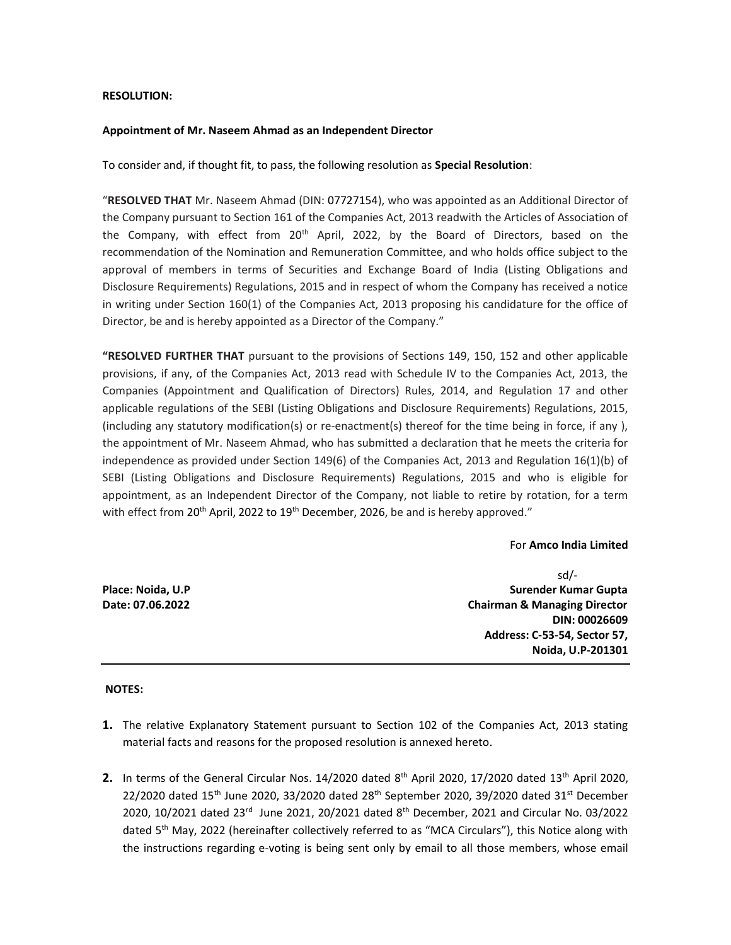#### RESOLUTION:

#### Appointment of Mr. Naseem Ahmad as an Independent Director

To consider and, if thought fit, to pass, the following resolution as Special Resolution:

"RESOLVED THAT Mr. Naseem Ahmad (DIN: 07727154), who was appointed as an Additional Director of the Company pursuant to Section 161 of the Companies Act, 2013 readwith the Articles of Association of the Company, with effect from 20<sup>th</sup> April, 2022, by the Board of Directors, based on the recommendation of the Nomination and Remuneration Committee, and who holds office subject to the approval of members in terms of Securities and Exchange Board of India (Listing Obligations and Disclosure Requirements) Regulations, 2015 and in respect of whom the Company has received a notice in writing under Section 160(1) of the Companies Act, 2013 proposing his candidature for the office of Director, be and is hereby appointed as a Director of the Company."

"RESOLVED FURTHER THAT pursuant to the provisions of Sections 149, 150, 152 and other applicable provisions, if any, of the Companies Act, 2013 read with Schedule IV to the Companies Act, 2013, the Companies (Appointment and Qualification of Directors) Rules, 2014, and Regulation 17 and other applicable regulations of the SEBI (Listing Obligations and Disclosure Requirements) Regulations, 2015, (including any statutory modification(s) or re-enactment(s) thereof for the time being in force, if any ), the appointment of Mr. Naseem Ahmad, who has submitted a declaration that he meets the criteria for independence as provided under Section 149(6) of the Companies Act, 2013 and Regulation 16(1)(b) of SEBI (Listing Obligations and Disclosure Requirements) Regulations, 2015 and who is eligible for appointment, as an Independent Director of the Company, not liable to retire by rotation, for a term with effect from 20<sup>th</sup> April, 2022 to 19<sup>th</sup> December, 2026, be and is hereby approved."

For Amco India Limited

|                   | $sd/$ -                                 |
|-------------------|-----------------------------------------|
| Place: Noida, U.P | Surender Kumar Gupta                    |
| Date: 07.06.2022  | <b>Chairman &amp; Managing Director</b> |
|                   | DIN: 00026609                           |
|                   | Address: C-53-54, Sector 57,            |
|                   | Noida, U.P-201301                       |

#### NOTES:

- 1. The relative Explanatory Statement pursuant to Section 102 of the Companies Act, 2013 stating material facts and reasons for the proposed resolution is annexed hereto.
- 2. In terms of the General Circular Nos.  $14/2020$  dated  $8<sup>th</sup>$  April 2020,  $17/2020$  dated  $13<sup>th</sup>$  April 2020, 22/2020 dated  $15<sup>th</sup>$  June 2020, 33/2020 dated 28<sup>th</sup> September 2020, 39/2020 dated 31<sup>st</sup> December 2020, 10/2021 dated 23<sup>rd</sup> June 2021, 20/2021 dated 8<sup>th</sup> December, 2021 and Circular No. 03/2022 dated 5th May, 2022 (hereinafter collectively referred to as "MCA Circulars"), this Notice along with the instructions regarding e-voting is being sent only by email to all those members, whose email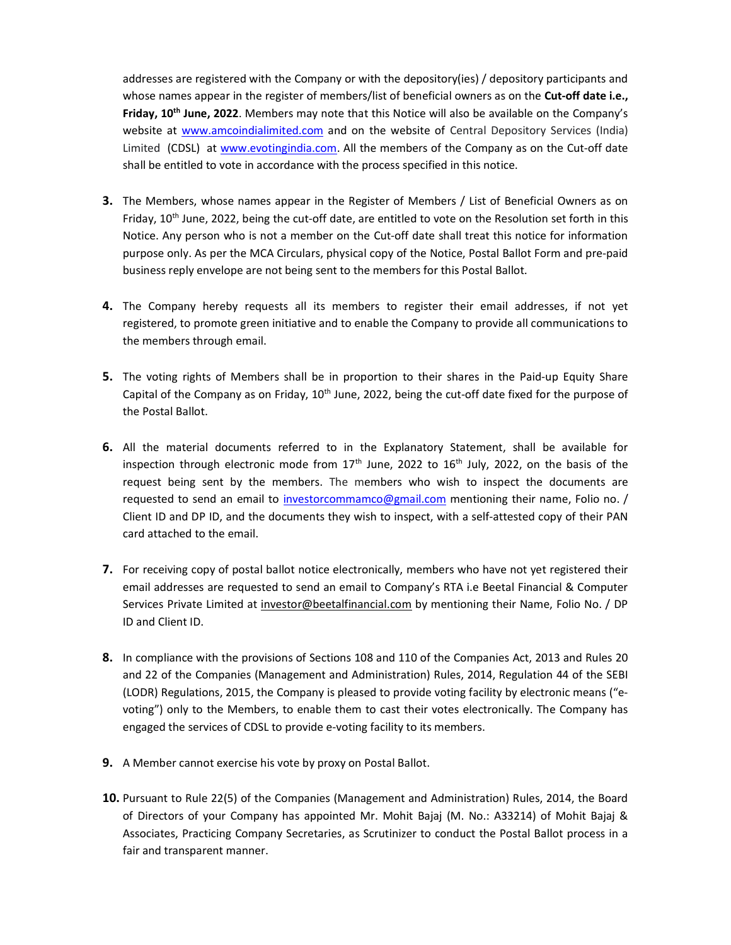addresses are registered with the Company or with the depository(ies) / depository participants and whose names appear in the register of members/list of beneficial owners as on the **Cut-off date i.e.,** Friday, 10<sup>th</sup> June, 2022. Members may note that this Notice will also be available on the Company's website at www.amcoindialimited.com and on the website of Central Depository Services (India) Limited (CDSL) at www.evotingindia.com. All the members of the Company as on the Cut-off date shall be entitled to vote in accordance with the process specified in this notice.

- 3. The Members, whose names appear in the Register of Members / List of Beneficial Owners as on Friday, 10<sup>th</sup> June, 2022, being the cut-off date, are entitled to vote on the Resolution set forth in this Notice. Any person who is not a member on the Cut-off date shall treat this notice for information purpose only. As per the MCA Circulars, physical copy of the Notice, Postal Ballot Form and pre-paid business reply envelope are not being sent to the members for this Postal Ballot.
- 4. The Company hereby requests all its members to register their email addresses, if not yet registered, to promote green initiative and to enable the Company to provide all communications to the members through email.
- 5. The voting rights of Members shall be in proportion to their shares in the Paid-up Equity Share Capital of the Company as on Friday,  $10<sup>th</sup>$  June, 2022, being the cut-off date fixed for the purpose of the Postal Ballot.
- 6. All the material documents referred to in the Explanatory Statement, shall be available for inspection through electronic mode from  $17<sup>th</sup>$  June, 2022 to  $16<sup>th</sup>$  July, 2022, on the basis of the request being sent by the members. The members who wish to inspect the documents are requested to send an email to investorcommamco@gmail.com mentioning their name, Folio no. / Client ID and DP ID, and the documents they wish to inspect, with a self-attested copy of their PAN card attached to the email.
- 7. For receiving copy of postal ballot notice electronically, members who have not yet registered their email addresses are requested to send an email to Company's RTA i.e Beetal Financial & Computer Services Private Limited at investor@beetalfinancial.com by mentioning their Name, Folio No. / DP ID and Client ID.
- 8. In compliance with the provisions of Sections 108 and 110 of the Companies Act, 2013 and Rules 20 and 22 of the Companies (Management and Administration) Rules, 2014, Regulation 44 of the SEBI (LODR) Regulations, 2015, the Company is pleased to provide voting facility by electronic means ("evoting") only to the Members, to enable them to cast their votes electronically. The Company has engaged the services of CDSL to provide e-voting facility to its members.
- 9. A Member cannot exercise his vote by proxy on Postal Ballot.
- 10. Pursuant to Rule 22(5) of the Companies (Management and Administration) Rules, 2014, the Board of Directors of your Company has appointed Mr. Mohit Bajaj (M. No.: A33214) of Mohit Bajaj & Associates, Practicing Company Secretaries, as Scrutinizer to conduct the Postal Ballot process in a fair and transparent manner.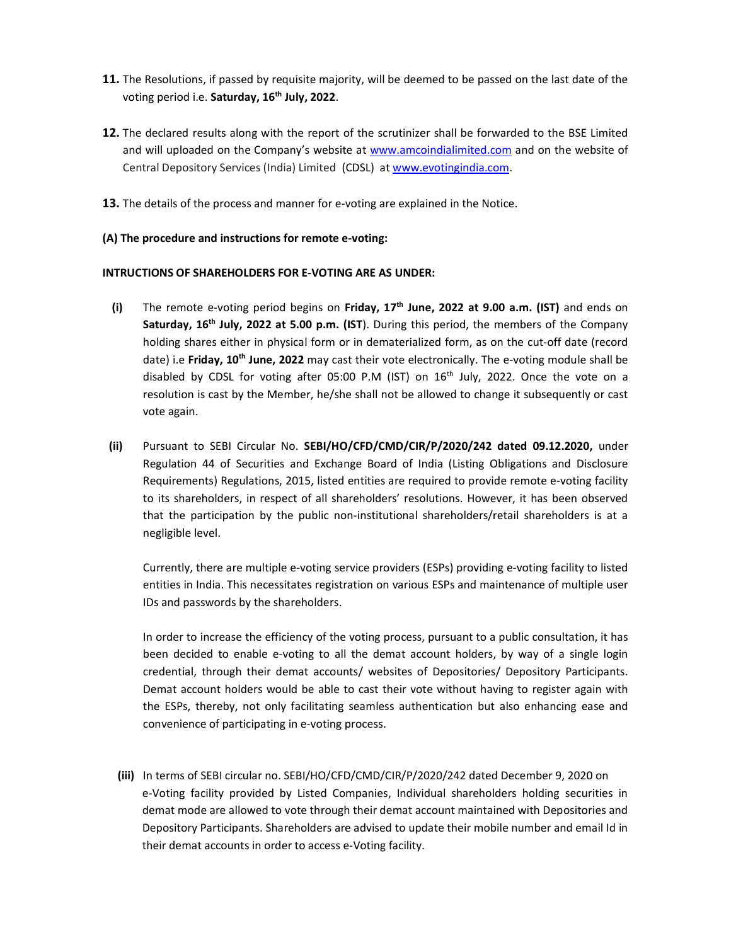- 11. The Resolutions, if passed by requisite majority, will be deemed to be passed on the last date of the voting period i.e. Saturday, 16<sup>th</sup> July, 2022.
- 12. The declared results along with the report of the scrutinizer shall be forwarded to the BSE Limited and will uploaded on the Company's website at www.amcoindialimited.com and on the website of Central Depository Services (India) Limited (CDSL) at www.evotingindia.com.
- 13. The details of the process and manner for e-voting are explained in the Notice.

## (A) The procedure and instructions for remote e-voting:

## INTRUCTIONS OF SHAREHOLDERS FOR E-VOTING ARE AS UNDER:

- (i) The remote e-voting period begins on Friday,  $17<sup>th</sup>$  June, 2022 at 9.00 a.m. (IST) and ends on Saturday,  $16<sup>th</sup>$  July, 2022 at 5.00 p.m. (IST). During this period, the members of the Company holding shares either in physical form or in dematerialized form, as on the cut-off date (record date) i.e **Friday, 10<sup>th</sup> June, 2022** may cast their vote electronically. The e-voting module shall be disabled by CDSL for voting after 05:00 P.M (IST) on  $16<sup>th</sup>$  July, 2022. Once the vote on a resolution is cast by the Member, he/she shall not be allowed to change it subsequently or cast vote again.
- (ii) Pursuant to SEBI Circular No. SEBI/HO/CFD/CMD/CIR/P/2020/242 dated 09.12.2020, under Regulation 44 of Securities and Exchange Board of India (Listing Obligations and Disclosure Requirements) Regulations, 2015, listed entities are required to provide remote e-voting facility to its shareholders, in respect of all shareholders' resolutions. However, it has been observed that the participation by the public non-institutional shareholders/retail shareholders is at a negligible level.

Currently, there are multiple e-voting service providers (ESPs) providing e-voting facility to listed entities in India. This necessitates registration on various ESPs and maintenance of multiple user IDs and passwords by the shareholders.

In order to increase the efficiency of the voting process, pursuant to a public consultation, it has been decided to enable e-voting to all the demat account holders, by way of a single login credential, through their demat accounts/ websites of Depositories/ Depository Participants. Demat account holders would be able to cast their vote without having to register again with the ESPs, thereby, not only facilitating seamless authentication but also enhancing ease and convenience of participating in e-voting process.

(iii) In terms of SEBI circular no. SEBI/HO/CFD/CMD/CIR/P/2020/242 dated December 9, 2020 on e-Voting facility provided by Listed Companies, Individual shareholders holding securities in demat mode are allowed to vote through their demat account maintained with Depositories and Depository Participants. Shareholders are advised to update their mobile number and email Id in their demat accounts in order to access e-Voting facility.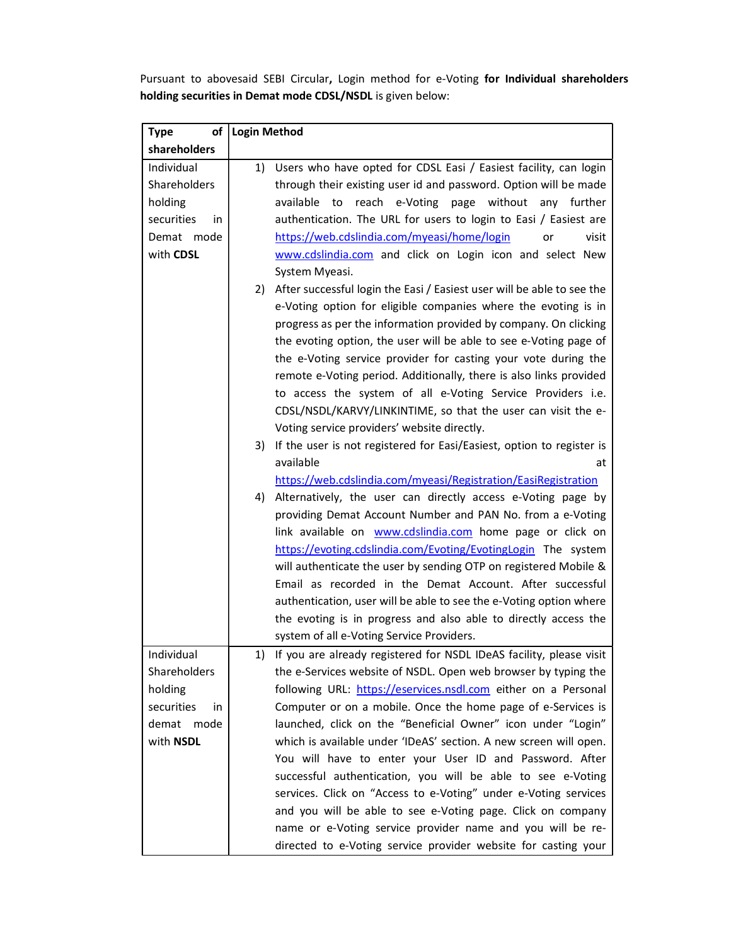Pursuant to abovesaid SEBI Circular, Login method for e-Voting for Individual shareholders holding securities in Demat mode CDSL/NSDL is given below:

| of<br><b>Type</b> | <b>Login Method</b> |                                                                           |
|-------------------|---------------------|---------------------------------------------------------------------------|
| shareholders      |                     |                                                                           |
| Individual        | 1)                  | Users who have opted for CDSL Easi / Easiest facility, can login          |
| Shareholders      |                     | through their existing user id and password. Option will be made          |
| holding           |                     | available to reach e-Voting page without any further                      |
| securities<br>in  |                     | authentication. The URL for users to login to Easi / Easiest are          |
| Demat mode        |                     | https://web.cdslindia.com/myeasi/home/login<br>or<br>visit                |
| with CDSL         |                     | www.cdslindia.com and click on Login icon and select New                  |
|                   |                     | System Myeasi.                                                            |
|                   |                     | 2) After successful login the Easi / Easiest user will be able to see the |
|                   |                     | e-Voting option for eligible companies where the evoting is in            |
|                   |                     | progress as per the information provided by company. On clicking          |
|                   |                     | the evoting option, the user will be able to see e-Voting page of         |
|                   |                     | the e-Voting service provider for casting your vote during the            |
|                   |                     | remote e-Voting period. Additionally, there is also links provided        |
|                   |                     | to access the system of all e-Voting Service Providers i.e.               |
|                   |                     | CDSL/NSDL/KARVY/LINKINTIME, so that the user can visit the e-             |
|                   |                     | Voting service providers' website directly.                               |
|                   | 3)                  | If the user is not registered for Easi/Easiest, option to register is     |
|                   |                     | available<br>at                                                           |
|                   |                     | https://web.cdslindia.com/myeasi/Registration/EasiRegistration            |
|                   | 4)                  | Alternatively, the user can directly access e-Voting page by              |
|                   |                     | providing Demat Account Number and PAN No. from a e-Voting                |
|                   |                     | link available on <b>www.cdslindia.com</b> home page or click on          |
|                   |                     | https://evoting.cdslindia.com/Evoting/EvotingLogin The system             |
|                   |                     | will authenticate the user by sending OTP on registered Mobile &          |
|                   |                     | Email as recorded in the Demat Account. After successful                  |
|                   |                     | authentication, user will be able to see the e-Voting option where        |
|                   |                     | the evoting is in progress and also able to directly access the           |
|                   |                     | system of all e-Voting Service Providers.                                 |
| Individual        | 1)                  | If you are already registered for NSDL IDeAS facility, please visit       |
| Shareholders      |                     | the e-Services website of NSDL. Open web browser by typing the            |
| holding           |                     | following URL: https://eservices.nsdl.com either on a Personal            |
| securities<br>in  |                     | Computer or on a mobile. Once the home page of e-Services is              |
| demat mode        |                     | launched, click on the "Beneficial Owner" icon under "Login"              |
| with NSDL         |                     | which is available under 'IDeAS' section. A new screen will open.         |
|                   |                     | You will have to enter your User ID and Password. After                   |
|                   |                     | successful authentication, you will be able to see e-Voting               |
|                   |                     | services. Click on "Access to e-Voting" under e-Voting services           |
|                   |                     | and you will be able to see e-Voting page. Click on company               |
|                   |                     | name or e-Voting service provider name and you will be re-                |
|                   |                     | directed to e-Voting service provider website for casting your            |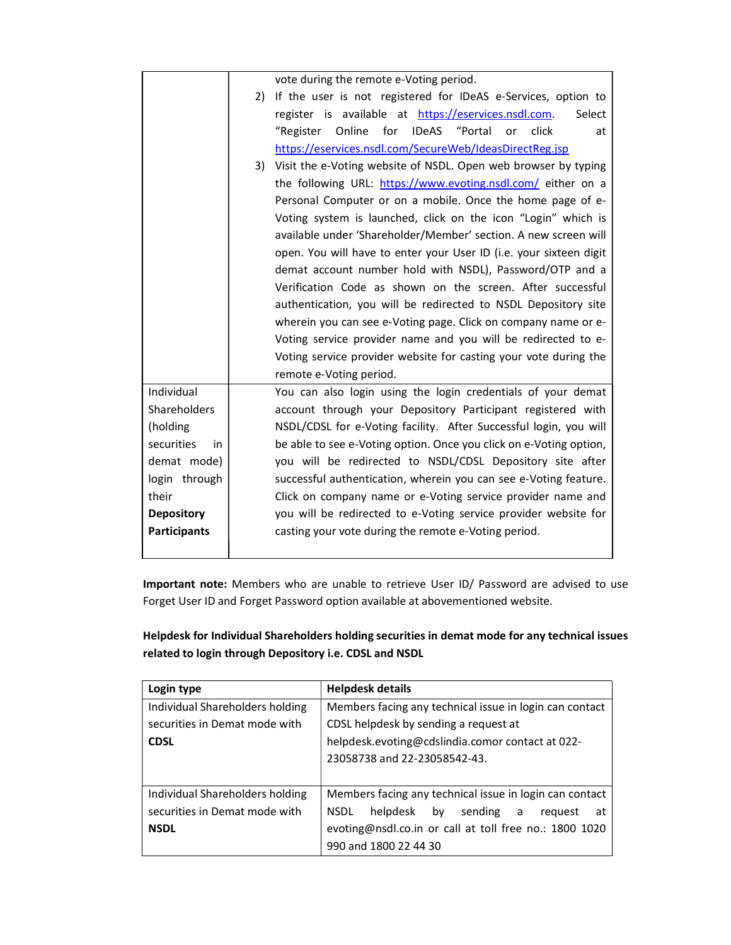|                     |                                                                    | vote during the remote e-Voting period.                            |  |
|---------------------|--------------------------------------------------------------------|--------------------------------------------------------------------|--|
|                     | 2)                                                                 | If the user is not registered for IDeAS e-Services, option to      |  |
|                     |                                                                    | register is available at https://eservices.nsdl.com.<br>Select     |  |
|                     |                                                                    | Online for<br>IDeAS "Portal<br>click<br>"Register<br>or<br>at      |  |
|                     |                                                                    | https://eservices.nsdl.com/SecureWeb/IdeasDirectReg.jsp            |  |
|                     | 3)                                                                 | Visit the e-Voting website of NSDL. Open web browser by typing     |  |
|                     |                                                                    | the following URL: https://www.evoting.nsdl.com/ either on a       |  |
|                     | Personal Computer or on a mobile. Once the home page of e-         |                                                                    |  |
|                     |                                                                    | Voting system is launched, click on the icon "Login" which is      |  |
|                     | available under 'Shareholder/Member' section. A new screen will    |                                                                    |  |
|                     | open. You will have to enter your User ID (i.e. your sixteen digit |                                                                    |  |
|                     | demat account number hold with NSDL), Password/OTP and a           |                                                                    |  |
|                     | Verification Code as shown on the screen. After successful         |                                                                    |  |
|                     |                                                                    | authentication, you will be redirected to NSDL Depository site     |  |
|                     |                                                                    | wherein you can see e-Voting page. Click on company name or e-     |  |
|                     |                                                                    | Voting service provider name and you will be redirected to e-      |  |
|                     |                                                                    | Voting service provider website for casting your vote during the   |  |
|                     |                                                                    | remote e-Voting period.                                            |  |
| Individual          |                                                                    | You can also login using the login credentials of your demat       |  |
| Shareholders        |                                                                    | account through your Depository Participant registered with        |  |
| (holding            |                                                                    | NSDL/CDSL for e-Voting facility. After Successful login, you will  |  |
| securities<br>in    |                                                                    | be able to see e-Voting option. Once you click on e-Voting option, |  |
| demat mode)         |                                                                    | you will be redirected to NSDL/CDSL Depository site after          |  |
| login through       |                                                                    | successful authentication, wherein you can see e-Voting feature.   |  |
| their               |                                                                    | Click on company name or e-Voting service provider name and        |  |
| <b>Depository</b>   |                                                                    | you will be redirected to e-Voting service provider website for    |  |
| <b>Participants</b> |                                                                    | casting your vote during the remote e-Voting period.               |  |
|                     |                                                                    |                                                                    |  |

Important note: Members who are unable to retrieve User ID/ Password are advised to use Forget User ID and Forget Password option available at abovementioned website.

Helpdesk for Individual Shareholders holding securities in demat mode for any technical issues related to login through Depository i.e. CDSL and NSDL

| Login type                      | <b>Helpdesk details</b>                                 |
|---------------------------------|---------------------------------------------------------|
| Individual Shareholders holding | Members facing any technical issue in login can contact |
| securities in Demat mode with   | CDSL helpdesk by sending a request at                   |
| <b>CDSL</b>                     | helpdesk.evoting@cdslindia.comor contact at 022-        |
|                                 | 23058738 and 22-23058542-43.                            |
|                                 |                                                         |
| Individual Shareholders holding | Members facing any technical issue in login can contact |
| securities in Demat mode with   | helpdesk by sending a<br>NSDL<br>request<br>at          |
| <b>NSDL</b>                     | evoting@nsdl.co.in or call at toll free no.: 1800 1020  |
|                                 | 990 and 1800 22 44 30                                   |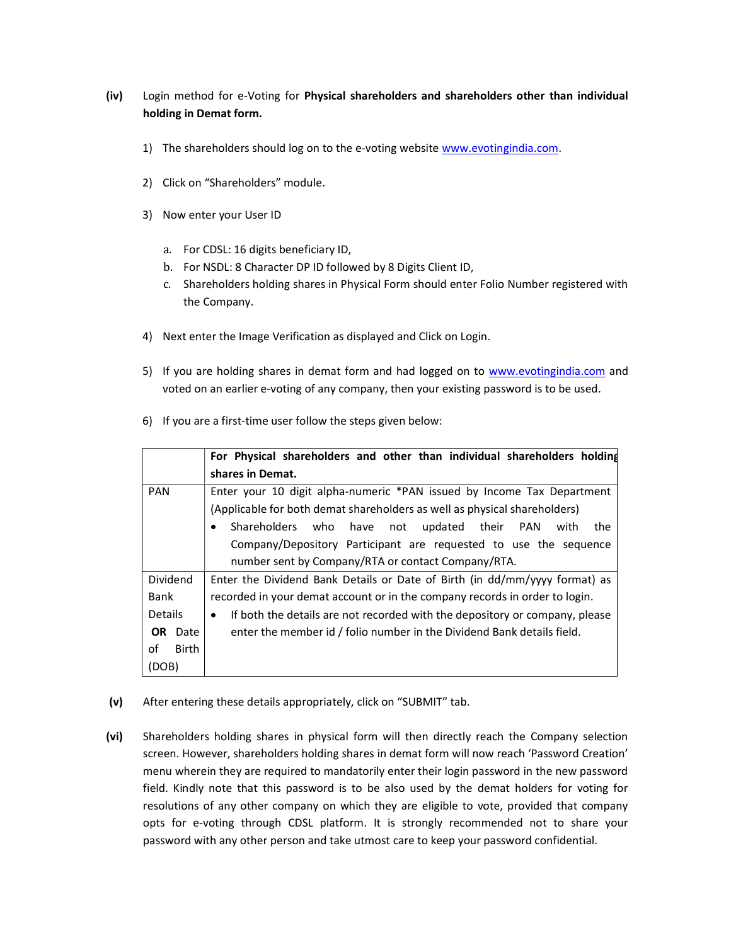# (iv) Login method for e-Voting for Physical shareholders and shareholders other than individual holding in Demat form.

- 1) The shareholders should log on to the e-voting website www.evotingindia.com.
- 2) Click on "Shareholders" module.
- 3) Now enter your User ID
	- a. For CDSL: 16 digits beneficiary ID,
	- b. For NSDL: 8 Character DP ID followed by 8 Digits Client ID,
	- c. Shareholders holding shares in Physical Form should enter Folio Number registered with the Company.
- 4) Next enter the Image Verification as displayed and Click on Login.
- 5) If you are holding shares in demat form and had logged on to www.evotingindia.com and voted on an earlier e-voting of any company, then your existing password is to be used.
- 6) If you are a first-time user follow the steps given below:

|                    | For Physical shareholders and other than individual shareholders holding    |
|--------------------|-----------------------------------------------------------------------------|
|                    | shares in Demat.                                                            |
| <b>PAN</b>         | Enter your 10 digit alpha-numeric *PAN issued by Income Tax Department      |
|                    | (Applicable for both demat shareholders as well as physical shareholders)   |
|                    | Shareholders<br>who have not updated their PAN<br>with<br>the<br>٠          |
|                    | Company/Depository Participant are requested to use the sequence            |
|                    | number sent by Company/RTA or contact Company/RTA.                          |
| Dividend           | Enter the Dividend Bank Details or Date of Birth (in dd/mm/yyyy format) as  |
| Bank               | recorded in your demat account or in the company records in order to login. |
| <b>Details</b>     | If both the details are not recorded with the depository or company, please |
| OR Date            | enter the member id / folio number in the Dividend Bank details field.      |
| of<br><b>Birth</b> |                                                                             |
| (DOB)              |                                                                             |

- (v) After entering these details appropriately, click on "SUBMIT" tab.
- (vi) Shareholders holding shares in physical form will then directly reach the Company selection screen. However, shareholders holding shares in demat form will now reach 'Password Creation' menu wherein they are required to mandatorily enter their login password in the new password field. Kindly note that this password is to be also used by the demat holders for voting for resolutions of any other company on which they are eligible to vote, provided that company opts for e-voting through CDSL platform. It is strongly recommended not to share your password with any other person and take utmost care to keep your password confidential.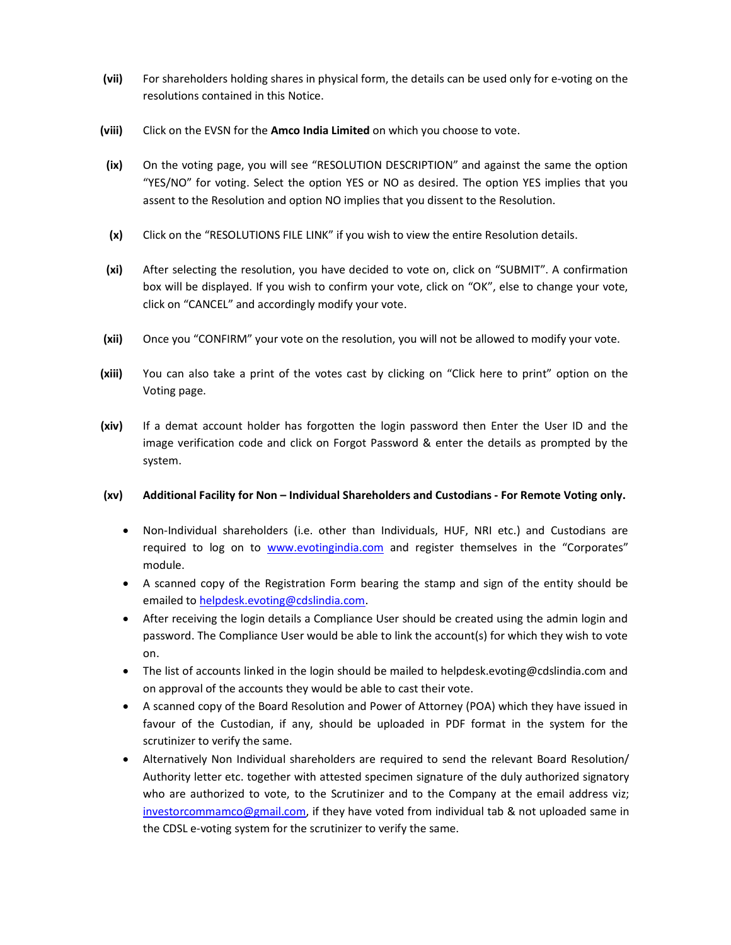- (vii) For shareholders holding shares in physical form, the details can be used only for e-voting on the resolutions contained in this Notice.
- (viii) Click on the EVSN for the Amco India Limited on which you choose to vote.
- (ix) On the voting page, you will see "RESOLUTION DESCRIPTION" and against the same the option "YES/NO" for voting. Select the option YES or NO as desired. The option YES implies that you assent to the Resolution and option NO implies that you dissent to the Resolution.
- (x) Click on the "RESOLUTIONS FILE LINK" if you wish to view the entire Resolution details.
- (xi) After selecting the resolution, you have decided to vote on, click on "SUBMIT". A confirmation box will be displayed. If you wish to confirm your vote, click on "OK", else to change your vote, click on "CANCEL" and accordingly modify your vote.
- (xii) Once you "CONFIRM" your vote on the resolution, you will not be allowed to modify your vote.
- (xiii) You can also take a print of the votes cast by clicking on "Click here to print" option on the Voting page.
- (xiv) If a demat account holder has forgotten the login password then Enter the User ID and the image verification code and click on Forgot Password & enter the details as prompted by the system.

#### (xv) Additional Facility for Non – Individual Shareholders and Custodians - For Remote Voting only.

- Non-Individual shareholders (i.e. other than Individuals, HUF, NRI etc.) and Custodians are required to log on to www.evotingindia.com and register themselves in the "Corporates" module.
- A scanned copy of the Registration Form bearing the stamp and sign of the entity should be emailed to helpdesk.evoting@cdslindia.com.
- After receiving the login details a Compliance User should be created using the admin login and password. The Compliance User would be able to link the account(s) for which they wish to vote on.
- The list of accounts linked in the login should be mailed to helpdesk.evoting@cdslindia.com and on approval of the accounts they would be able to cast their vote.
- A scanned copy of the Board Resolution and Power of Attorney (POA) which they have issued in favour of the Custodian, if any, should be uploaded in PDF format in the system for the scrutinizer to verify the same.
- Alternatively Non Individual shareholders are required to send the relevant Board Resolution/ Authority letter etc. together with attested specimen signature of the duly authorized signatory who are authorized to vote, to the Scrutinizer and to the Company at the email address viz; investorcommamco@gmail.com, if they have voted from individual tab & not uploaded same in the CDSL e-voting system for the scrutinizer to verify the same.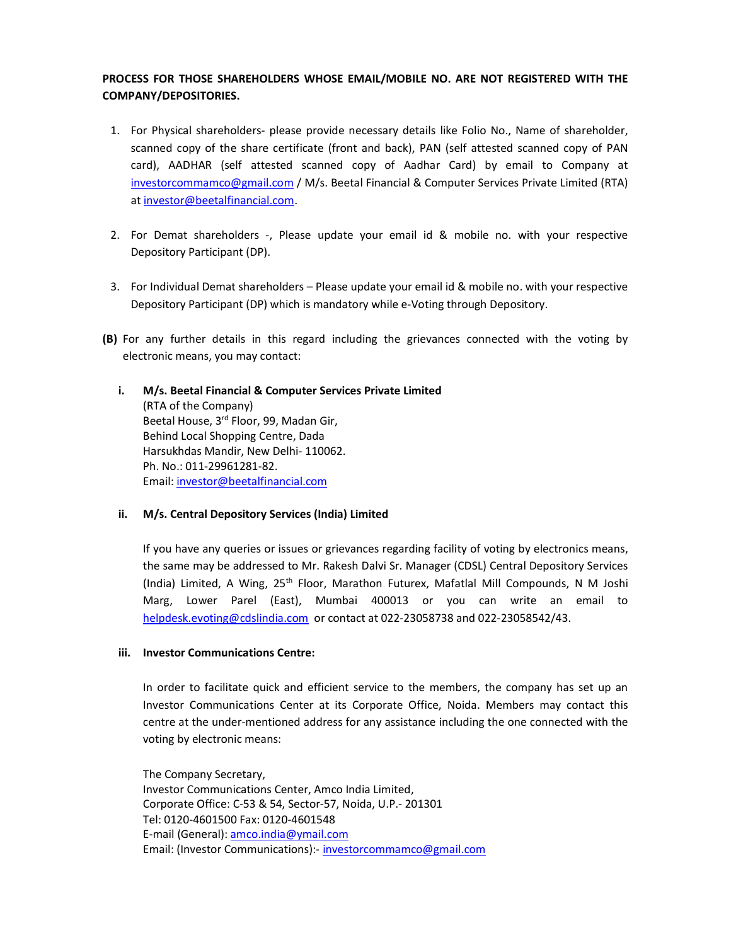# PROCESS FOR THOSE SHAREHOLDERS WHOSE EMAIL/MOBILE NO. ARE NOT REGISTERED WITH THE COMPANY/DEPOSITORIES.

- 1. For Physical shareholders- please provide necessary details like Folio No., Name of shareholder, scanned copy of the share certificate (front and back), PAN (self attested scanned copy of PAN card), AADHAR (self attested scanned copy of Aadhar Card) by email to Company at investorcommamco@gmail.com / M/s. Beetal Financial & Computer Services Private Limited (RTA) at investor@beetalfinancial.com.
- 2. For Demat shareholders -, Please update your email id & mobile no. with your respective Depository Participant (DP).
- 3. For Individual Demat shareholders Please update your email id & mobile no. with your respective Depository Participant (DP) which is mandatory while e-Voting through Depository.
- (B) For any further details in this regard including the grievances connected with the voting by electronic means, you may contact:
	- i. M/s. Beetal Financial & Computer Services Private Limited (RTA of the Company) Beetal House, 3rd Floor, 99, Madan Gir, Behind Local Shopping Centre, Dada Harsukhdas Mandir, New Delhi- 110062. Ph. No.: 011-29961281-82. Email: investor@beetalfinancial.com
	- ii. M/s. Central Depository Services (India) Limited

If you have any queries or issues or grievances regarding facility of voting by electronics means, the same may be addressed to Mr. Rakesh Dalvi Sr. Manager (CDSL) Central Depository Services (India) Limited, A Wing, 25th Floor, Marathon Futurex, Mafatlal Mill Compounds, N M Joshi Marg, Lower Parel (East), Mumbai 400013 or you can write an email to helpdesk.evoting@cdslindia.com or contact at 022-23058738 and 022-23058542/43.

#### iii. Investor Communications Centre:

In order to facilitate quick and efficient service to the members, the company has set up an Investor Communications Center at its Corporate Office, Noida. Members may contact this centre at the under-mentioned address for any assistance including the one connected with the voting by electronic means:

The Company Secretary, Investor Communications Center, Amco India Limited, Corporate Office: C-53 & 54, Sector-57, Noida, U.P.- 201301 Tel: 0120-4601500 Fax: 0120-4601548 E-mail (General): amco.india@ymail.com Email: (Investor Communications):- investorcommamco@gmail.com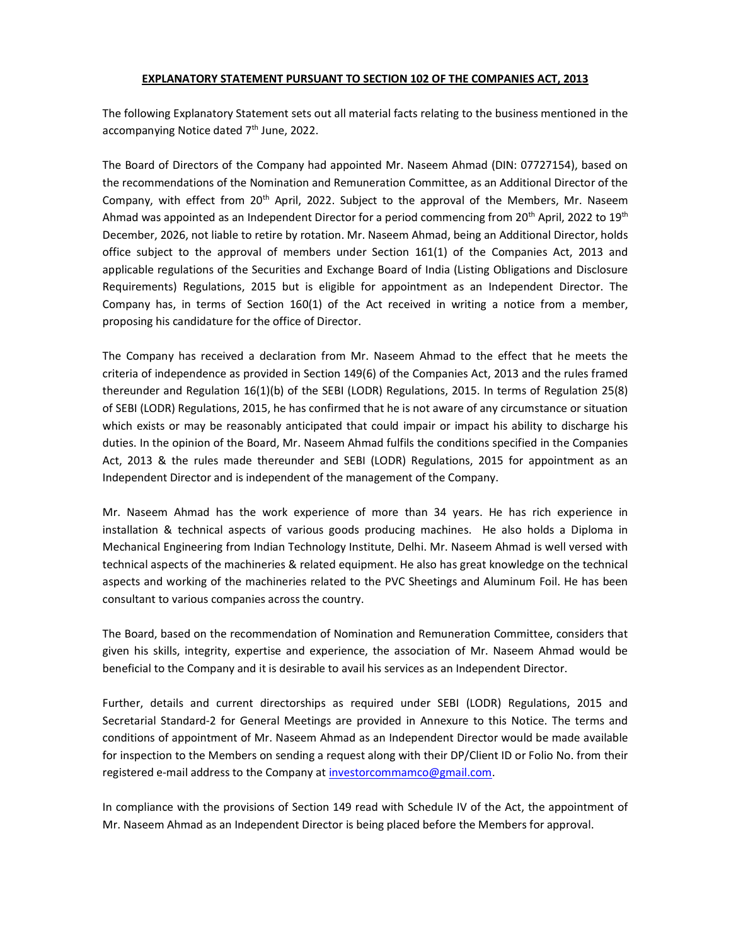#### EXPLANATORY STATEMENT PURSUANT TO SECTION 102 OF THE COMPANIES ACT, 2013

The following Explanatory Statement sets out all material facts relating to the business mentioned in the accompanying Notice dated 7<sup>th</sup> June, 2022.

The Board of Directors of the Company had appointed Mr. Naseem Ahmad (DIN: 07727154), based on the recommendations of the Nomination and Remuneration Committee, as an Additional Director of the Company, with effect from 20<sup>th</sup> April, 2022. Subject to the approval of the Members, Mr. Naseem Ahmad was appointed as an Independent Director for a period commencing from  $20^{th}$  April, 2022 to  $19^{th}$ December, 2026, not liable to retire by rotation. Mr. Naseem Ahmad, being an Additional Director, holds office subject to the approval of members under Section 161(1) of the Companies Act, 2013 and applicable regulations of the Securities and Exchange Board of India (Listing Obligations and Disclosure Requirements) Regulations, 2015 but is eligible for appointment as an Independent Director. The Company has, in terms of Section 160(1) of the Act received in writing a notice from a member, proposing his candidature for the office of Director.

The Company has received a declaration from Mr. Naseem Ahmad to the effect that he meets the criteria of independence as provided in Section 149(6) of the Companies Act, 2013 and the rules framed thereunder and Regulation 16(1)(b) of the SEBI (LODR) Regulations, 2015. In terms of Regulation 25(8) of SEBI (LODR) Regulations, 2015, he has confirmed that he is not aware of any circumstance or situation which exists or may be reasonably anticipated that could impair or impact his ability to discharge his duties. In the opinion of the Board, Mr. Naseem Ahmad fulfils the conditions specified in the Companies Act, 2013 & the rules made thereunder and SEBI (LODR) Regulations, 2015 for appointment as an Independent Director and is independent of the management of the Company.

Mr. Naseem Ahmad has the work experience of more than 34 years. He has rich experience in installation & technical aspects of various goods producing machines. He also holds a Diploma in Mechanical Engineering from Indian Technology Institute, Delhi. Mr. Naseem Ahmad is well versed with technical aspects of the machineries & related equipment. He also has great knowledge on the technical aspects and working of the machineries related to the PVC Sheetings and Aluminum Foil. He has been consultant to various companies across the country.

The Board, based on the recommendation of Nomination and Remuneration Committee, considers that given his skills, integrity, expertise and experience, the association of Mr. Naseem Ahmad would be beneficial to the Company and it is desirable to avail his services as an Independent Director.

Further, details and current directorships as required under SEBI (LODR) Regulations, 2015 and Secretarial Standard-2 for General Meetings are provided in Annexure to this Notice. The terms and conditions of appointment of Mr. Naseem Ahmad as an Independent Director would be made available for inspection to the Members on sending a request along with their DP/Client ID or Folio No. from their registered e-mail address to the Company at investorcommamco@gmail.com.

In compliance with the provisions of Section 149 read with Schedule IV of the Act, the appointment of Mr. Naseem Ahmad as an Independent Director is being placed before the Members for approval.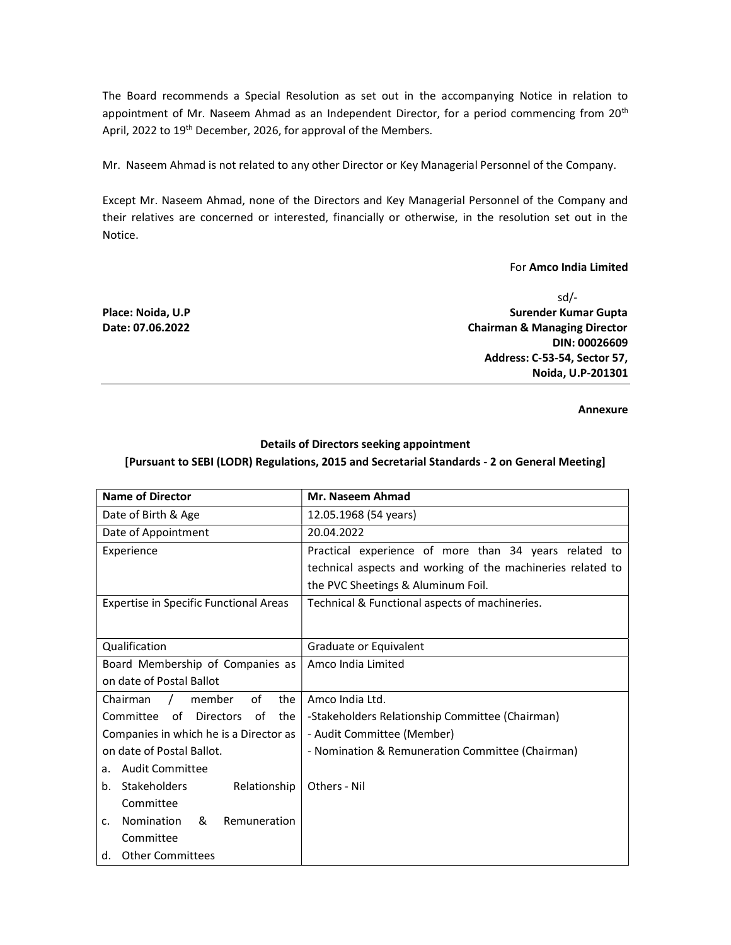The Board recommends a Special Resolution as set out in the accompanying Notice in relation to appointment of Mr. Naseem Ahmad as an Independent Director, for a period commencing from 20<sup>th</sup> April, 2022 to 19<sup>th</sup> December, 2026, for approval of the Members.

Mr. Naseem Ahmad is not related to any other Director or Key Managerial Personnel of the Company.

Except Mr. Naseem Ahmad, none of the Directors and Key Managerial Personnel of the Company and their relatives are concerned or interested, financially or otherwise, in the resolution set out in the Notice.

#### For Amco India Limited

sd/- Place: Noida, U.P Surender Kumar Gupta and Surender Kumar Gupta and Surender Kumar Gupta and Surender Kumar Gupta Date: 07.06.2022 **Chairman & Managing Director** Chairman & Managing Director DIN: 00026609 Address: C-53-54, Sector 57, Noida, U.P-201301

Annexure

# Details of Directors seeking appointment

## [Pursuant to SEBI (LODR) Regulations, 2015 and Secretarial Standards - 2 on General Meeting]

| <b>Name of Director</b>                           | Mr. Naseem Ahmad                                            |
|---------------------------------------------------|-------------------------------------------------------------|
| Date of Birth & Age                               | 12.05.1968 (54 years)                                       |
| Date of Appointment                               | 20.04.2022                                                  |
| Experience                                        | Practical experience of more than 34 years related to       |
|                                                   | technical aspects and working of the machineries related to |
|                                                   | the PVC Sheetings & Aluminum Foil.                          |
| <b>Expertise in Specific Functional Areas</b>     | Technical & Functional aspects of machineries.              |
|                                                   |                                                             |
| Qualification                                     | Graduate or Equivalent                                      |
| Board Membership of Companies as                  | Amco India Limited                                          |
| on date of Postal Ballot                          |                                                             |
| of<br>member<br>the<br>Chairman<br>$\sqrt{2}$     | Amco India Ltd.                                             |
| of Directors<br>Committee<br>the I<br>of          | -Stakeholders Relationship Committee (Chairman)             |
| Companies in which he is a Director as            | - Audit Committee (Member)                                  |
| on date of Postal Ballot.                         | - Nomination & Remuneration Committee (Chairman)            |
| <b>Audit Committee</b><br>a.                      |                                                             |
| Stakeholders<br>Relationship<br>$h_{-}$           | Others - Nil                                                |
| Committee                                         |                                                             |
| Nomination<br>&<br>Remuneration<br>$\mathsf{C}$ . |                                                             |
| Committee                                         |                                                             |
| d. Other Committees                               |                                                             |